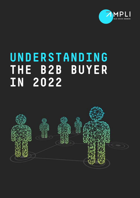

# **UNDERSTANDING THE B2B BUYER IN 2022**

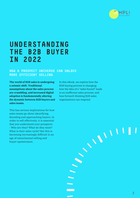

### **UNDERSTANDING THE B2B BUYER IN 2022**

#### **HOW A PROSPECT UNIVERSE CAN UNLOCK MORE EFFICIENT SELLING**

**The world of B2B sales is undergoing a seismic shift. Traditional assumptions about the sales process are crumbling, and increased digital adoption is fundamentally altering the dynamic between B2B buyers and sales teams.**

This has serious implications for how sales teams go about identifying, decoding and approaching buyers. In order to sell effectively, it is essential that you understand your prospects - Who are they? What do they want? What is their sales cycle? But this is becoming increasingly difficult in an age of omnichannel selling and buyer-epowerment.

In this eBook, we explore how the B2B buying process is changing; how the idea of a "sales funnel" leads to an inefficient sales process; and how forward-thinking B2B sales organisations can respond.

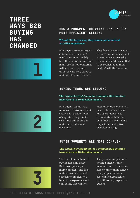### **THREE WAYS B2B BUYING HAS CHANGED**



#### **HOW A PROSPECT UNIVERSE CAN UNLOCK MORE EFFICIENT SELLING**

#### **73% of B2B buyers say they want a personalised, B2C-like experience**

B2B buyers are now largely autonomous; they don't need sales teams to drip feed them information, and many prefer not to interact with any sales people until they are very close to making a buying decision.

They have become used to a certain level of service and convenience as everyday consumers, and expect that to be replicated in their dealing with B2B vendors.

#### **BUYING TEAMS ARE GROWING**

#### **The typical buying group for a complex B2B solution involves six to 10 decision makers**

B2B buying teams have increased in size in recent years, with a wider team of experts brought in to scrutinise suppliers and make more informed decisions.

Each individual buyer will have different concerns, and sales teams need to understand how the dynamics of buyer teams impact their collective decision making.

### **BUYER JOURNEYS ARE MORE COMPLEX**

#### **The typical buying group for a complex B2B solution involves six to 10 decision makers**

The rise of omnichannel buying has only made B2B buyer journeys more complex - and this makes buyers weary of excessive complexity, a lack of transparency and conflicting information.

The process simply does not fit a linear "funnel" anymore, and this means sales teams can no longer easily apply the same systematic approach to two different prospective buyers.



**3**

**1**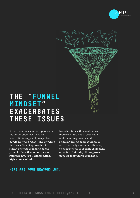



### **THE "FUNNEL MINDSET" EXACERBATES THESE ISSUES**

A traditional sales funnel operates on the assumption that there is a near-infinite supply of prospective buyers for your product, and therefore the most efficient approach is to simply generate as many leads as possible. **Even if your conversion rates are low, you'll end up with a high volume of sales**.

In earlier times, this made sense: there was little way of accurately understanding buyers, and relatively little leaders could do to retrospectively assess the efficiency or effectiveness of specific campaigns or tactics. **But today, this approach does far more harm than good**.

#### **HERE ARE FOUR REASONS WHY:**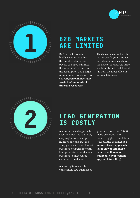



### **B2B MARKETS ARE LIMITED**

B2B markets are often highly wniche, meaning the number of prospective buyers you have is limited. If your strategy is built on the assumption that a large number of prospects will not convert, **you will inevitably waste huge amounts of time and resources**.

This becomes more true the more specific your product is. But even in cases where the market is relatively large, a volume-based model is still far from the most efficient approach to sales.



### **LEAD GENERATION IS COSTLY**

A volume-based approach assumes that it is relatively easy to generate a large number of leads. But this simply does not match most business's experience with lead generation - and leads business to undervalue each individual lead.

According to research, vanishingly few businesses generate more than 5,000 leads per month - and most struggle to reach four figures. And that means a **volume-based approach is far slower and more expensive than a more nuanced, buyer-centric approach to selling**.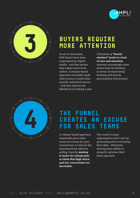



### **BUYERS REQUIRE MORE ATTENTION**

As we've discussed, B2B buyers have been empowered by digital media - and that means they expect more from sellers. A volume-based approach inevitably leads sales teams to undervalue specific individual buyers - and that reduces the likelihood of making a sale. Ultimately, **a "funnel mindset" leads to a lack of care and attention**, whereas increasingly sales teams must be thinking in terms of relationship building and heavily personalised interactions.



### **THE FUNNEL CREATES AN EXCUSE FOR SALES TEAMS**

A volume-based approach essentially gives sales teams an excuse for poor conversions. It reduces the benchmark for effective selling, thereby **making it easier for salespeople to claim that high churn and low conversions are inevitable**.

The result is many organisations don't end up generating and scrutinising their data - ultimately limiting their ability to properly optimise their sales approach.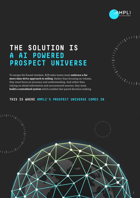

### **THE SOLUTION IS A AI POWERED PROSPECT UNIVERSE**

To escape the funnel mindset, B2B sales teams must **embrace a far more data-drive approach to selling**. Rather than focusing on volume, they must focus on accuracy and understanding. And rather than relying on siloed information and unconnected sources, they must **build a centralised system** which enables fast-paced decision making.



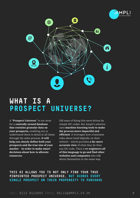



## **WHAT IS A PROSPECT UNIVERSE?**

A "**Prospect Universe**" is our term for a **centrally owned database that contains granular data on your prospects,** enabling you to understand them in detail at all times through the sales process. **It will help you clearly define both your prospects and the true size of your market** - **in order to make smart decisions about how to allocate resources**.

Old ways of doing this were driven by simple SIC codes. But Ampli's solution uses **machine learning tools to make the process more impactful and efficient**. It leverages how a business talks about itself digitally on their website - which provides **a far more accurate view** of what they do than any SIC code. Then it **re-engineers all of this language to go and find other websites and companies** who talk about themselves in the same way.

#### **THIS AI ALLOWS YOU TO NOT ONLY FIND YOUR TRUE PINPOINTED PROSPECT UNIVERSE, BUT SCORES EVERY SINGLE PROSPECT ON THEIR PROPENSITY TO PURCHASE**